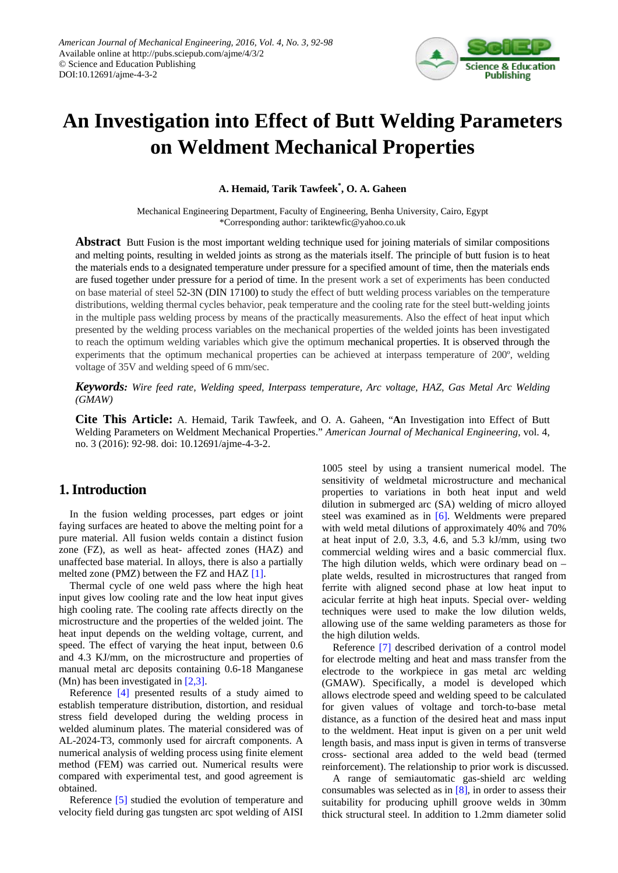

# **An Investigation into Effect of Butt Welding Parameters on Weldment Mechanical Properties**

**A. Hemaid, Tarik Tawfeek\* , O. A. Gaheen**

Mechanical Engineering Department, Faculty of Engineering, Benha University, Cairo, Egypt \*Corresponding author: tariktewfic@yahoo.co.uk

**Abstract** Butt Fusion is the most important welding technique used for joining materials of similar compositions and melting points, resulting in welded joints as strong as the materials itself. The principle of butt fusion is to heat the materials ends to a designated temperature under pressure for a specified amount of time, then the materials ends are fused together under pressure for a period of time. In the present work a set of experiments has been conducted on base material of steel 52-3N (DIN 17100) to study the effect of butt welding process variables on the temperature distributions, welding thermal cycles behavior, peak temperature and the cooling rate for the steel butt-welding joints in the multiple pass welding process by means of the practically measurements. Also the effect of heat input which presented by the welding process variables on the mechanical properties of the welded joints has been investigated to reach the optimum welding variables which give the optimum mechanical properties. It is observed through the experiments that the optimum mechanical properties can be achieved at interpass temperature of 200º, welding voltage of 35V and welding speed of 6 mm/sec.

*Keywords: Wire feed rate, Welding speed, Interpass temperature, Arc voltage, HAZ, Gas Metal Arc Welding (GMAW)*

**Cite This Article:** A. Hemaid, Tarik Tawfeek, and O. A. Gaheen, "**A**n Investigation into Effect of Butt Welding Parameters on Weldment Mechanical Properties." *American Journal of Mechanical Engineering*, vol. 4, no. 3 (2016): 92-98. doi: 10.12691/ajme-4-3-2.

# **1. Introduction**

In the fusion welding processes, part edges or joint faying surfaces are heated to above the melting point for a pure material. All fusion welds contain a distinct fusion zone (FZ), as well as heat- affected zones (HAZ) and unaffected base material. In alloys, there is also a partially melted zone (PMZ) between the FZ and HAZ [\[1\].](#page-6-0)

Thermal cycle of one weld pass where the high heat input gives low cooling rate and the low heat input gives high cooling rate. The cooling rate affects directly on the microstructure and the properties of the welded joint. The heat input depends on the welding voltage, current, and speed. The effect of varying the heat input, between 0.6 and 4.3 KJ/mm, on the microstructure and properties of manual metal arc deposits containing 0.6-18 Manganese (Mn) has been investigated in [\[2,3\].](#page-6-1)

Reference [\[4\]](#page-6-2) presented results of a study aimed to establish temperature distribution, distortion, and residual stress field developed during the welding process in welded aluminum plates. The material considered was of AL-2024-T3, commonly used for aircraft components. A numerical analysis of welding process using finite element method (FEM) was carried out. Numerical results were compared with experimental test, and good agreement is obtained.

Reference [\[5\]](#page-6-3) studied the evolution of temperature and velocity field during gas tungsten arc spot welding of AISI 1005 steel by using a transient numerical model. The sensitivity of weldmetal microstructure and mechanical properties to variations in both heat input and weld dilution in submerged arc (SA) welding of micro alloyed steel was examined as in [\[6\].](#page-6-4) Weldments were prepared with weld metal dilutions of approximately 40% and 70% at heat input of 2.0, 3.3, 4.6, and 5.3 kJ/mm, using two commercial welding wires and a basic commercial flux. The high dilution welds, which were ordinary bead on – plate welds, resulted in microstructures that ranged from ferrite with aligned second phase at low heat input to acicular ferrite at high heat inputs. Special over- welding techniques were used to make the low dilution welds, allowing use of the same welding parameters as those for the high dilution welds.

Reference [\[7\]](#page-6-5) described derivation of a control model for electrode melting and heat and mass transfer from the electrode to the workpiece in gas metal arc welding (GMAW). Specifically, a model is developed which allows electrode speed and welding speed to be calculated for given values of voltage and torch-to-base metal distance, as a function of the desired heat and mass input to the weldment. Heat input is given on a per unit weld length basis, and mass input is given in terms of transverse cross- sectional area added to the weld bead (termed reinforcement). The relationship to prior work is discussed.

A range of semiautomatic gas-shield arc welding consumables was selected as in  $[8]$ , in order to assess their suitability for producing uphill groove welds in 30mm thick structural steel. In addition to 1.2mm diameter solid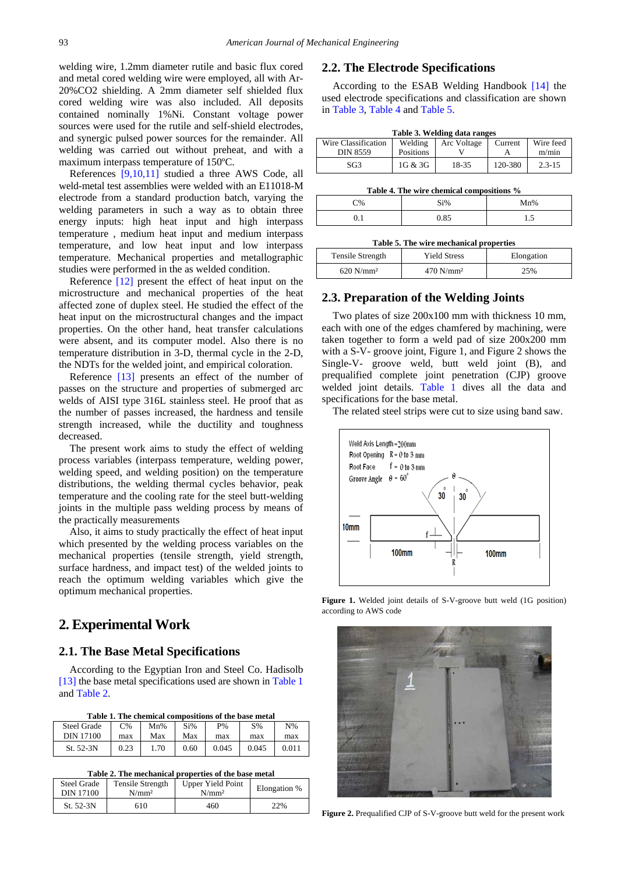welding wire, 1.2mm diameter rutile and basic flux cored and metal cored welding wire were employed, all with Ar-20%CO2 shielding. A 2mm diameter self shielded flux cored welding wire was also included. All deposits contained nominally 1%Ni. Constant voltage power sources were used for the rutile and self-shield electrodes, and synergic pulsed power sources for the remainder. All welding was carried out without preheat, and with a maximum interpass temperature of 150ºC.

References [\[9,10,11\]](#page-6-7) studied a three AWS Code, all weld-metal test assemblies were welded with an E11018-M electrode from a standard production batch, varying the welding parameters in such a way as to obtain three energy inputs: high heat input and high interpass temperature , medium heat input and medium interpass temperature, and low heat input and low interpass temperature. Mechanical properties and metallographic studies were performed in the as welded condition.

Reference [\[12\]](#page-6-8) present the effect of heat input on the microstructure and mechanical properties of the heat affected zone of duplex steel. He studied the effect of the heat input on the microstructural changes and the impact properties. On the other hand, heat transfer calculations were absent, and its computer model. Also there is no temperature distribution in 3-D, thermal cycle in the 2-D, the NDTs for the welded joint, and empirical coloration.

Reference [\[13\]](#page-6-9) presents an effect of the number of passes on the structure and properties of submerged arc welds of AISI type 316L stainless steel. He proof that as the number of passes increased, the hardness and tensile strength increased, while the ductility and toughness decreased.

The present work aims to study the effect of welding process variables (interpass temperature, welding power, welding speed, and welding position) on the temperature distributions, the welding thermal cycles behavior, peak temperature and the cooling rate for the steel butt-welding joints in the multiple pass welding process by means of the practically measurements

Also, it aims to study practically the effect of heat input which presented by the welding process variables on the mechanical properties (tensile strength, yield strength, surface hardness, and impact test) of the welded joints to reach the optimum welding variables which give the optimum mechanical properties.

# **2. Experimental Work**

#### **2.1. The Base Metal Specifications**

According to the Egyptian Iron and Steel Co. Hadisolb [\[13\]](#page-6-9) the base metal specifications used are shown i[n Table 1](#page-1-0) an[d Table 2.](#page-1-1)

|  | Table 1. The chemical compositions of the base metal |
|--|------------------------------------------------------|
|--|------------------------------------------------------|

<span id="page-1-0"></span>

| <b>Steel Grade</b> | C%   | Mn%  | Si%  | P%    | $S\%$ | $N\%$ |
|--------------------|------|------|------|-------|-------|-------|
| DIN 17100          | max  | Max  | Max  | max   | max   | max   |
| St. 52-3N          | 0.23 | 1.70 | 0.60 | 0.045 | 0.045 | 0.011 |

**Table 2. The mechanical properties of the base metal**

<span id="page-1-1"></span>

| Steel Grade | <b>Tensile Strength</b> | <b>Upper Yield Point</b> | Elongation % |
|-------------|-------------------------|--------------------------|--------------|
| DIN 17100   | $N/mm^2$                | N/mm <sup>2</sup>        |              |
| St. 52-3N   | 610                     | 460                      | 22%          |

## **2.2. The Electrode Specifications**

According to the ESAB Welding Handbook [14] the used electrode specifications and classification are shown in [Table 3,](#page-1-2) [Table 4](#page-1-3) an[d Table 5.](#page-1-4)

| Table 3. Welding data ranges |
|------------------------------|
|------------------------------|

<span id="page-1-2"></span>

| Wire Classification | Welding   | Arc Voltage | Current | Wire feed  |
|---------------------|-----------|-------------|---------|------------|
| <b>DIN 8559</b>     | Positions |             |         | m/min      |
| SG <sub>3</sub>     | 1G & 3G   | 18-35       | 120-380 | $2.3 - 15$ |
|                     |           |             |         |            |

| Table 4. The wire chemical compositions % |  |  |
|-------------------------------------------|--|--|
|-------------------------------------------|--|--|

<span id="page-1-3"></span>

| C%  | Si%  | Mn%  |
|-----|------|------|
| ∪.⊥ | 0.85 | ن. 1 |

| Table 5. The wire mechanical properties |  |
|-----------------------------------------|--|
|-----------------------------------------|--|

<span id="page-1-4"></span>

| Tensile Strength        | <b>Yield Stress</b>     | Elongation |
|-------------------------|-------------------------|------------|
| $620$ N/mm <sup>2</sup> | $470$ N/mm <sup>2</sup> | 25%        |

#### **2.3. Preparation of the Welding Joints**

Two plates of size 200x100 mm with thickness 10 mm, each with one of the edges chamfered by machining, were taken together to form a weld pad of size 200x200 mm with a S-V- groove joint, Figure 1, and Figure 2 shows the Single-V- groove weld, butt weld joint (B), and prequalified complete joint penetration (CJP) groove welded joint details. [Table 1](#page-1-0) dives all the data and specifications for the base metal.

The related steel strips were cut to size using band saw.



**Figure 1.** Welded joint details of S-V-groove butt weld (1G position) according to AWS code



**Figure 2.** Prequalified CJP of S-V-groove butt weld for the present work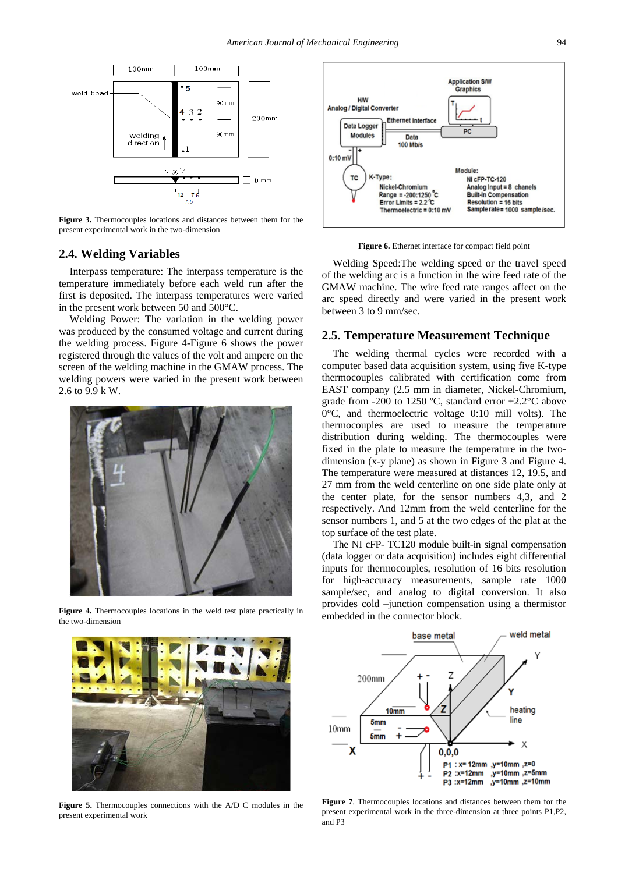

**Figure 3.** Thermocouples locations and distances between them for the present experimental work in the two-dimension

## **2.4. Welding Variables**

Interpass temperature: The interpass temperature is the temperature immediately before each weld run after the first is deposited. The interpass temperatures were varied in the present work between 50 and 500°C.

Welding Power: The variation in the welding power was produced by the consumed voltage and current during the welding process. Figure 4-Figure 6 shows the power registered through the values of the volt and ampere on the screen of the welding machine in the GMAW process. The welding powers were varied in the present work between 2.6 to 9.9 k W.



**Figure 4.** Thermocouples locations in the weld test plate practically in the two-dimension



**Figure 6.** Ethernet interface for compact field point

Welding Speed:The welding speed or the travel speed of the welding arc is a function in the wire feed rate of the GMAW machine. The wire feed rate ranges affect on the arc speed directly and were varied in the present work between 3 to 9 mm/sec.

## **2.5. Temperature Measurement Technique**

The welding thermal cycles were recorded with a computer based data acquisition system, using five K-type thermocouples calibrated with certification come from EAST company (2.5 mm in diameter, Nickel-Chromium, grade from -200 to 1250 °C, standard error  $\pm 2.2$ °C above 0°C, and thermoelectric voltage 0:10 mill volts). The thermocouples are used to measure the temperature distribution during welding. The thermocouples were fixed in the plate to measure the temperature in the twodimension (x-y plane) as shown in Figure 3 and Figure 4. The temperature were measured at distances 12, 19.5, and 27 mm from the weld centerline on one side plate only at the center plate, for the sensor numbers 4,3, and 2 respectively. And 12mm from the weld centerline for the sensor numbers 1, and 5 at the two edges of the plat at the top surface of the test plate.

The NI cFP- TC120 module built-in signal compensation (data logger or data acquisition) includes eight differential inputs for thermocouples, resolution of 16 bits resolution for high-accuracy measurements, sample rate 1000 sample/sec, and analog to digital conversion. It also provides cold –junction compensation using a thermistor embedded in the connector block.



**Figure 5.** Thermocouples connections with the A/D C modules in the present experimental work



**Figure 7**. Thermocouples locations and distances between them for the present experimental work in the three-dimension at three points P1,P2, and P3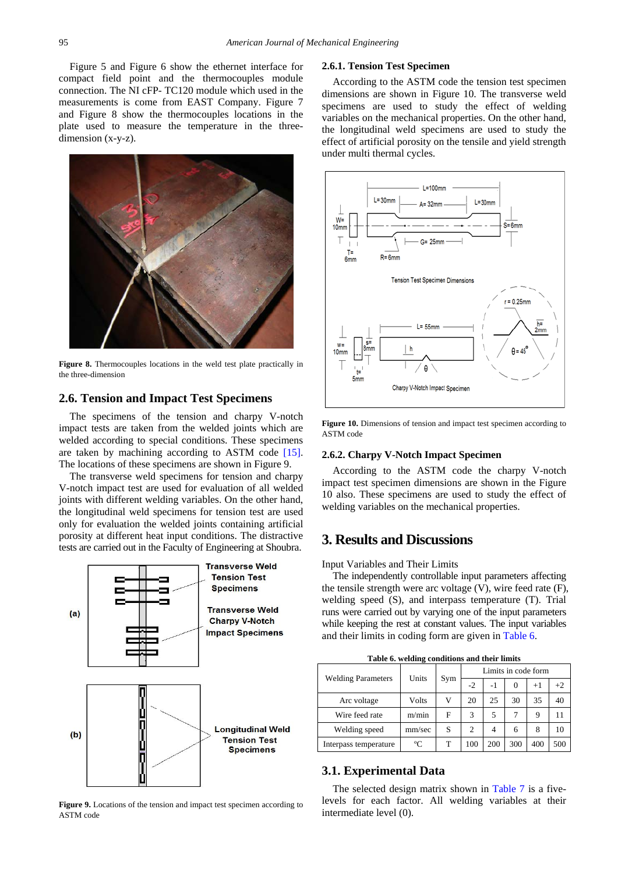Figure 5 and Figure 6 show the ethernet interface for compact field point and the thermocouples module connection. The NI cFP- TC120 module which used in the measurements is come from EAST Company. Figure 7 and Figure 8 show the thermocouples locations in the plate used to measure the temperature in the threedimension (x-y-z).



**Figure 8.** Thermocouples locations in the weld test plate practically in the three-dimension

#### **2.6. Tension and Impact Test Specimens**

The specimens of the tension and charpy V-notch impact tests are taken from the welded joints which are welded according to special conditions. These specimens are taken by machining according to ASTM code [15]. The locations of these specimens are shown in Figure 9.

The transverse weld specimens for tension and charpy V-notch impact test are used for evaluation of all welded joints with different welding variables. On the other hand, the longitudinal weld specimens for tension test are used only for evaluation the welded joints containing artificial porosity at different heat input conditions. The distractive tests are carried out in the Faculty of Engineering at Shoubra.



Figure 9. Locations of the tension and impact test specimen according to ASTM code

#### **2.6.1. Tension Test Specimen**

According to the ASTM code the tension test specimen dimensions are shown in Figure 10. The transverse weld specimens are used to study the effect of welding variables on the mechanical properties. On the other hand, the longitudinal weld specimens are used to study the effect of artificial porosity on the tensile and yield strength under multi thermal cycles.



**Figure 10.** Dimensions of tension and impact test specimen according to ASTM code

#### **2.6.2. Charpy V-Notch Impact Specimen**

According to the ASTM code the charpy V-notch impact test specimen dimensions are shown in the Figure 10 also. These specimens are used to study the effect of welding variables on the mechanical properties.

# **3. Results and Discussions**

Input Variables and Their Limits

The independently controllable input parameters affecting the tensile strength were arc voltage (V), wire feed rate (F), welding speed (S), and interpass temperature (T). Trial runs were carried out by varying one of the input parameters while keeping the rest at constant values. The input variables and their limits in coding form are given in [Table 6.](#page-3-0)

**Table 6. welding conditions and their limits**

<span id="page-3-0"></span>

| <b>Welding Parameters</b> | Units  |     | Limits in code form |      |     |      |      |
|---------------------------|--------|-----|---------------------|------|-----|------|------|
|                           |        | Sym | $-2$                | $-1$ | 0   | $+1$ | $+2$ |
| Arc voltage               | Volts  |     | 20                  | 25   | 30  | 35   | 40   |
| Wire feed rate            | m/min  | F   | 3                   | 5    |     | 9    |      |
| Welding speed             | mm/sec | S   | $\overline{c}$      | 4    | 6   | 8    | 10   |
| Interpass temperature     | °C     |     | 100                 | 200  | 300 | 400  | 500  |

## **3.1. Experimental Data**

The selected design matrix shown in [Table 7](#page-4-0) is a fivelevels for each factor. All welding variables at their intermediate level (0).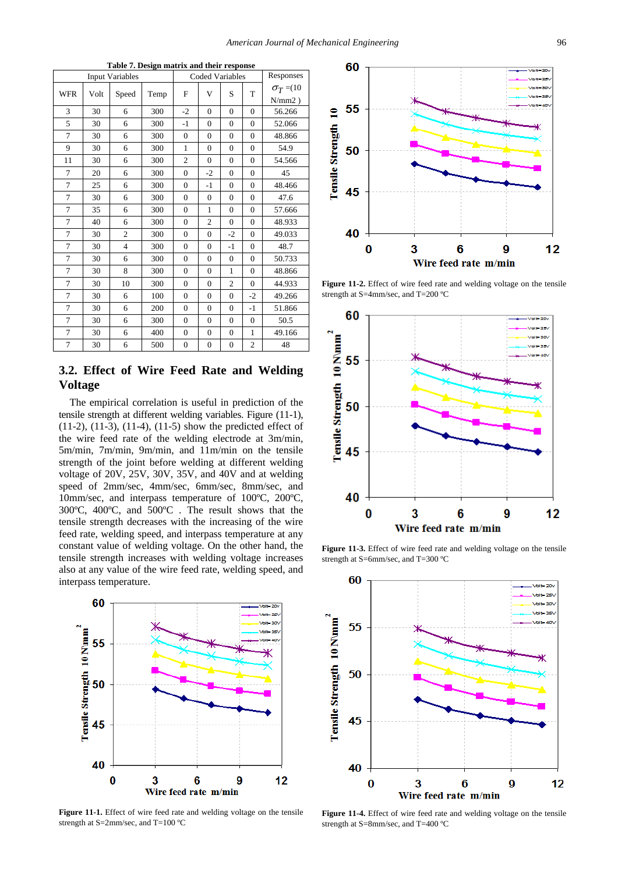<span id="page-4-0"></span>

| Table 7. Design matrix and their response |      |                        |      |                |                        |                |                |                 |
|-------------------------------------------|------|------------------------|------|----------------|------------------------|----------------|----------------|-----------------|
|                                           |      | <b>Input Variables</b> |      |                | <b>Coded Variables</b> |                |                | Responses       |
| <b>WFR</b>                                | Volt | Speed                  | Temp | F              | V                      | S              | T              | $\sigma_T = 10$ |
|                                           |      |                        |      |                |                        |                |                | $N/mm2$ )       |
| 3                                         | 30   | 6                      | 300  | $-2$           | $\overline{0}$         | $\theta$       | $\theta$       | 56.266          |
| 5                                         | 30   | 6                      | 300  | $-1$           | $\overline{0}$         | $\theta$       | $\theta$       | 52.066          |
| 7                                         | 30   | 6                      | 300  | $\mathbf{0}$   | $\overline{0}$         | $\Omega$       | $\theta$       | 48.866          |
| 9                                         | 30   | 6                      | 300  | 1              | $\theta$               | $\theta$       | $\theta$       | 54.9            |
| 11                                        | 30   | 6                      | 300  | $\overline{2}$ | $\overline{0}$         | $\theta$       | $\theta$       | 54.566          |
| 7                                         | 20   | 6                      | 300  | $\theta$       | $-2$                   | $\theta$       | $\theta$       | 45              |
| 7                                         | 25   | 6                      | 300  | $\Omega$       | $-1$                   | $\theta$       | $\Omega$       | 48.466          |
| 7                                         | 30   | 6                      | 300  | $\theta$       | $\overline{0}$         | $\theta$       | $\theta$       | 47.6            |
| 7                                         | 35   | 6                      | 300  | $\overline{0}$ | 1                      | $\mathbf{0}$   | $\theta$       | 57.666          |
| 7                                         | 40   | 6                      | 300  | $\theta$       | $\overline{2}$         | $\theta$       | $\theta$       | 48.933          |
| 7                                         | 30   | $\overline{c}$         | 300  | $\Omega$       | $\theta$               | $-2$           | $\theta$       | 49.033          |
| 7                                         | 30   | $\overline{4}$         | 300  | $\Omega$       | $\overline{0}$         | $-1$           | $\theta$       | 48.7            |
| 7                                         | 30   | 6                      | 300  | $\theta$       | $\overline{0}$         | $\theta$       | $\theta$       | 50.733          |
| 7                                         | 30   | 8                      | 300  | $\theta$       | $\theta$               | $\mathbf{1}$   | $\Omega$       | 48.866          |
| 7                                         | 30   | 10                     | 300  | $\overline{0}$ | $\overline{0}$         | $\overline{c}$ | $\Omega$       | 44.933          |
| 7                                         | 30   | 6                      | 100  | $\mathbf{0}$   | $\overline{0}$         | $\mathbf{0}$   | $-2$           | 49.266          |
| 7                                         | 30   | 6                      | 200  | $\theta$       | $\overline{0}$         | $\theta$       | $-1$           | 51.866          |
| 7                                         | 30   | 6                      | 300  | $\overline{0}$ | $\overline{0}$         | $\theta$       | $\Omega$       | 50.5            |
| 7                                         | 30   | 6                      | 400  | $\overline{0}$ | $\overline{0}$         | $\mathbf{0}$   | 1              | 49.166          |
| 7                                         | 30   | 6                      | 500  | $\mathbf{0}$   | $\overline{0}$         | $\Omega$       | $\overline{c}$ | 48              |

# **3.2. Effect of Wire Feed Rate and Welding Voltage**

The empirical correlation is useful in prediction of the tensile strength at different welding variables. Figure (11-1), (11-2), (11-3), (11-4), (11-5) show the predicted effect of the wire feed rate of the welding electrode at 3m/min, 5m/min, 7m/min, 9m/min, and 11m/min on the tensile strength of the joint before welding at different welding voltage of 20V, 25V, 30V, 35V, and 40V and at welding speed of 2mm/sec, 4mm/sec, 6mm/sec, 8mm/sec, and 10mm/sec, and interpass temperature of 100ºC, 200ºC, 300ºC, 400ºC, and 500ºC . The result shows that the tensile strength decreases with the increasing of the wire feed rate, welding speed, and interpass temperature at any constant value of welding voltage. On the other hand, the tensile strength increases with welding voltage increases also at any value of the wire feed rate, welding speed, and interpass temperature.



**Figure 11-1.** Effect of wire feed rate and welding voltage on the tensile strength at S=2mm/sec, and T=100 ºC



**Figure 11-2.** Effect of wire feed rate and welding voltage on the tensile strength at S=4mm/sec, and T=200 ºC



**Figure 11-3.** Effect of wire feed rate and welding voltage on the tensile strength at S=6mm/sec, and T=300 °C



**Figure 11-4.** Effect of wire feed rate and welding voltage on the tensile strength at S=8mm/sec, and T=400 ºC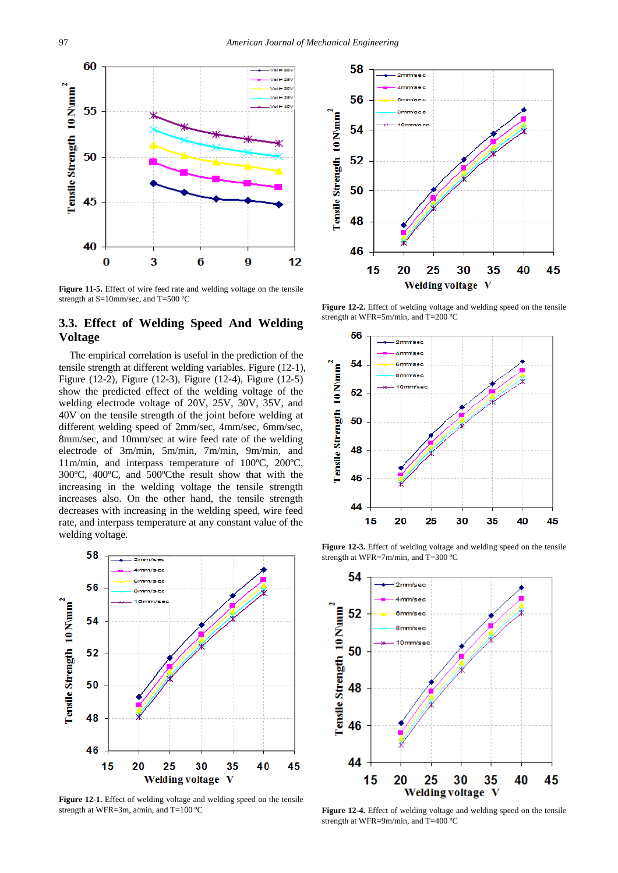

**Figure 11-5.** Effect of wire feed rate and welding voltage on the tensile strength at S=10mm/sec, and T=500 ºC

## **3.3. Effect of Welding Speed And Welding Voltage**

The empirical correlation is useful in the prediction of the tensile strength at different welding variables. Figure (12-1), Figure (12-2), Figure (12-3), Figure (12-4), Figure (12-5) show the predicted effect of the welding voltage of the welding electrode voltage of 20V, 25V, 30V, 35V, and 40V on the tensile strength of the joint before welding at different welding speed of 2mm/sec, 4mm/sec, 6mm/sec, 8mm/sec, and 10mm/sec at wire feed rate of the welding electrode of 3m/min, 5m/min, 7m/min, 9m/min, and 11m/min, and interpass temperature of 100ºC, 200ºC, 300ºC, 400ºC, and 500ºCthe result show that with the increasing in the welding voltage the tensile strength increases also. On the other hand, the tensile strength decreases with increasing in the welding speed, wire feed rate, and interpass temperature at any constant value of the welding voltage.



**Figure 12-1.** Effect of welding voltage and welding speed on the tensile strength at WFR=3m, a/min, and T=100 ºC



Figure 12-2. Effect of welding voltage and welding speed on the tensile strength at WFR=5m/min, and T=200 ºC



**Figure 12-3.** Effect of welding voltage and welding speed on the tensile strength at WFR=7m/min, and T=300 ºC



**Figure 12-4.** Effect of welding voltage and welding speed on the tensile strength at WFR=9m/min, and T=400 ºC